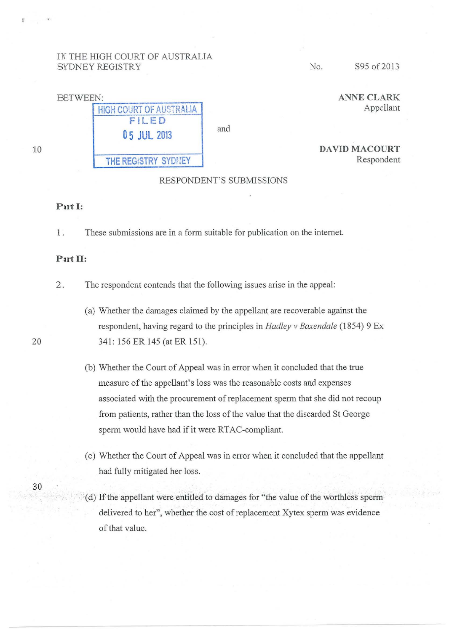# IN THE HIGH COURT OF AUSTRALIA SYDNEY REGISTRY No. S95 of 2013



ANNE CLARK

Respondent

DAVID MACOURT

# RESPONDENT'S SUBMISSIONS

#### Part **1:**

1 . These submissions are in a form suitable for publication on the internet.

## Part II:

2. The respondent contends that the following issues arise in the appeal:

- (a) Whether the damages claimed by the appellant are recoverable against the respondent, having regard to the principles in *Hadley v Baxendale* (1854) 9 Ex 341: 156 ER 145 (at ER 151).
- (b) Whether the Court of Appeal was in error when it concluded that the true measure of the appellant's loss was the reasonable costs and expenses associated with the procurement of replacement sperm that she did not recoup from patients, rather than the loss of the value that the discarded St George sperm would have had if it were RTAC-compliant.
- (c) Whether the Court of Appeal was in error when it concluded that the appellant had fully mitigated her loss.
- (d) If the appellant were entitled to damages for "the value of the worthless sperm delivered to her", whether the cost of replacement Xytex sperm was evidence of that value.

20

30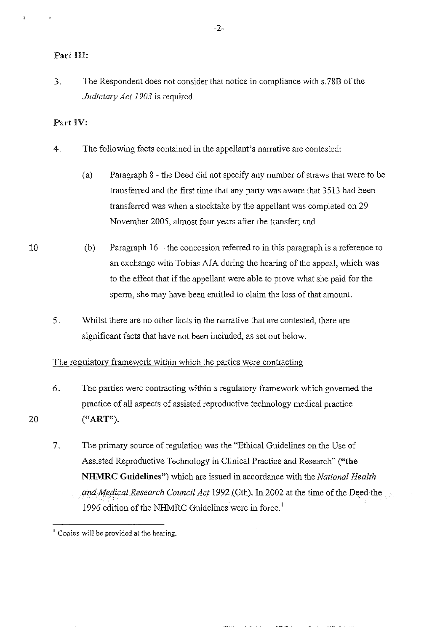3. The Respondent does not consider that notice in compliance with s.78B of the *Judiciary Act 1903* is required.

# Part IV:

- 4. The following facts contained in the appellant's narrative are contested:
	- (a) Paragraph 8 the Deed did not specify any number of straws that were to be transferred and the first time that any party was aware that 3513 had been transferred was when a stocktake by the appellant was completed on 29 November 2005, almost four years after the transfer; and
	- (b) Paragraph  $16$  the concession referred to in this paragraph is a reference to an exchange with Tobias AJA during the hearing of the appeal, which was to the effect that if the appellant were able to prove what she paid for the sperm, she may have been entitled to claim the loss of that amount.
- 5. Whilst there are no other facts in the narrative that are contested, there are significant facts that have not been included, as set out below.

## The regulatory framework within which the parties were contracting

- 6. The parties were contracting within a regulatory framework which governed the practice of all aspects of assisted reproductive technology medical practice **("ART").**
- 7. The primary source of regulation was the "Ethical Guidelines on the Use of Assisted Reproductive Technology in Clinical Practice and Research" **("the NHMRC Guidelines")** which are issued in accordance with the *National Health*  and Medical Research Council Act 1992 (Cth). In 2002 at the time of the Deed the 1996 edition of the NHMRC Guidelines were in force.<sup>1</sup>

10

<sup>&</sup>lt;sup>1</sup> Copies will be provided at the hearing.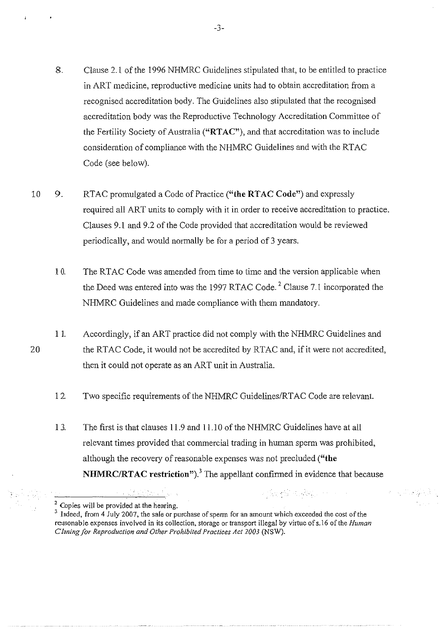- 8. Clause 2.1 of the 1996 NHMRC Guidelines stipulated that, to be entitled to practice in ART medicine, reproductive medicine units had to obtain accreditation from a recognised accreditation body. The Guidelines also stipulated that the recognised accreditation body was the Reproductive Technology Accreditation Committee of the Fertility Society of Australia ("RTAC"), and that accreditation was to include consideration of compliance with the NHMRC Guidelines and with the RTAC Code (see below).
- 10 9. RTAC promulgated a Code of Practice ("the RTAC Code") and expressly required all ART units to comply with it in order to receive accreditation to practice. Clauses 9.1 and 9.2 of the Code provided that accreditation would be reviewed periodically, and would normally be for a period of 3 years.
	- 10. The RTAC Code was amended from time to time and the version applicable when the Deed was entered into was the 1997 RTAC Code.<sup>2</sup> Clause 7.1 incorporated the NHMRC Guidelines and made compliance with them mandatory.
	- 11. Accordingly, if an ART practice did not comply with the NHMRC Guidelines and the RTAC Code, it would not be accredited by RTAC and, if it were not accredited, then it could not operate as an ART unit in Australia.
		- 12. Two specific requirements of the NHMRC Guidelines/RTAC Code are relevant.
		- 1 3. The first is that clauses 11.9 and 11.10 of the NHMRC Guidelines have at all relevant times provided that commercial trading in human sperm was prohibited, although the recovery of reasonable expenses was not precluded **("the NHMRC/RTAC restriction").<sup>3</sup>**The appellant confirmed in evidence that because

2012년 3월 3일 - 대학교 대학교 기

经国际公益保险

<sup>2</sup> Copies will be provided at the hearing.

-3-

<sup>&</sup>lt;sup>3</sup> Indeed, from 4 July 2007, the sale or purchase of sperm for an amount which exceeded the cost of the **reasonable expenses involved in its collection. storage or transport illegal by virtue ofs.l6 of the** *Human Cloning for Reproduction and Other Prohibited Practices Act2003* (NSW).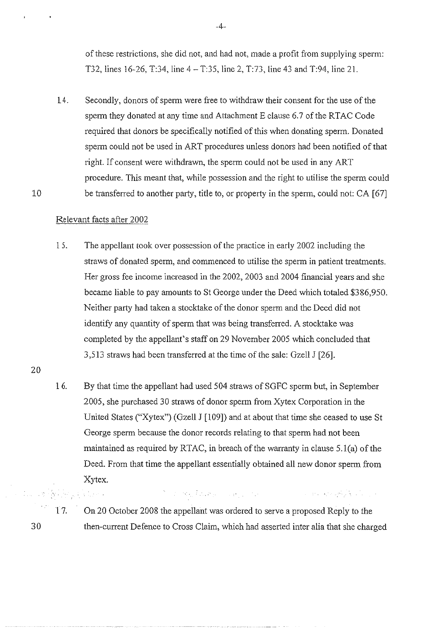of these restrictions, she did not, and had not, made a profit from supplying sperm: T32, lines 16-26, T:34, line 4- T:35, line 2, T:73, line 43 and T:94, line 21.

14. Secondly, donors of sperm were free to withdraw their consent for the use of the sperm they donated at any time and Attachment E clause 6.7 of the RTAC Code required that donors be specifically notified of this when donating sperm. Donated sperm could not be used in ART procedures unless donors had been notified of that right. If consent were withdrawn, the sperm could not be used in any ART procedure. This meant that, while possession and the right to utilise the sperm could be transferred to another party, title to, or property in the sperm, could not: CA [67]

## Relevant facts after 2002

ing<br>Alberta

- 15. The appellant took over possession of the practice in early 2002 including the straws of donated sperm, and commenced to utilise the sperm in patient treatments. Her gross fee income increased in the 2002, 2003 and 2004 financial years and she became liable to pay amounts to StGeorge under the Deed which totaled \$386,950. Neither party had taken a stocktake of the donor sperm and the Deed did not identify any quantity of sperm that was being transferred. A stocktake was completed by the appellant's staff on 29 November 2005 which concluded that 3,513 straws had been transferred at the time of the sale: Gzell J [26].
- 20

30

10

1 6. By that time the appellant had used 504 straws of SGFC sperm but, in September 2005, she purchased 30 straws of donor sperm from Xytex Corporation in the United States ("Xytex") (Gzell J [109]) and at about that time she ceased to use St George sperm because the donor records relating to that sperm had not been maintained as required by RTAC, in breach of the warranty in clause 5.l(a) of the Deed. From that time the appellant essentially obtained all new donor sperm from Xytex.

17. On 20 October 2008 the appellant was ordered to serve a proposed Reply to the then-current Defence to Cross Claim, which had asserted inter alia that she charged

The first of the company of the company of the company of the company of the company of the company of the company of the company of the company of the company of the company of the company of the company of the company of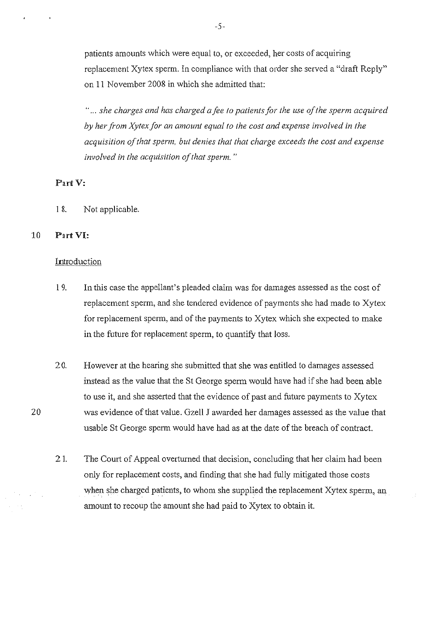patients amounts which were equal to, or exceeded, her costs of acquiring replacement Xytex sperm. In compliance with that order she served a "draft Reply" on 11 November 2008 in which she admitted that:

" ... *she charges and has charged a fee to patients for the use of the sperm acquired by her ji-om Xytex for an amount equal to the cost and expense involved in the acquisition of that sperm, but denies that that charge exceeds the cost and expense involved in the acquisition of that sperm.* "

#### Part V:

1 8. Not applicable.

## 10 Part VI:

#### Introduction

- l 9. In this case the appellant's pleaded claim was for damages assessed as the cost of replacement sperm, and she tendered evidence of payments she had made to Xytex for replacement sperm, and of the payments to Xytex which she expected to make in the future for replacement sperm, to quantify that loss.
- 2 0. However at the hearing she submitted that she was entitled to damages assessed instead as the value that the St George sperm would have had if she had been able to use it, and she asserted that the evidence of past and future payments to Xytex was evidence of that value. Gzell J awarded her damages assessed as the value that usable StGeorge sperm would have had as at the date of the breach of contract.
- 2 1. The Court of Appeal overturned that decision, concluding that her claim had been only for replacement costs, and finding that she had fully mitigated those costs when she charged patients, to whom she supplied the replacement Xytex sperm, an amount to recoup the amount she had paid to Xytex to obtain it.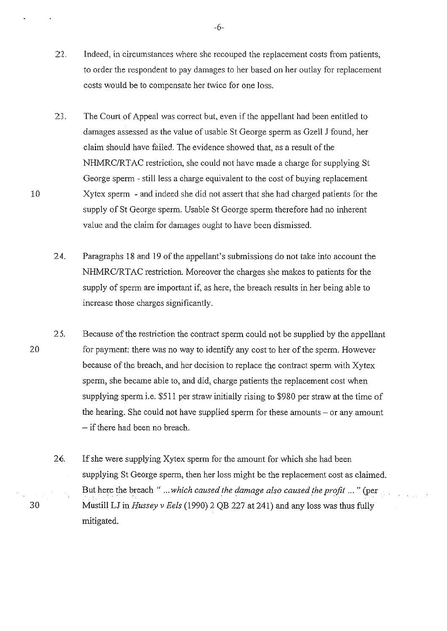- 22. Indeed, in circumstances where she recouped the replacement costs from patients, to order the respondent to pay damages to her based on her outlay for replacement costs would be to compensate her twice for one loss.
- 23. The Court of Appeal was correct but, even if the appellant had been entitled to damages assessed as the value of usable StGeorge sperm as Gzell J found, her claim should have failed. The evidence showed that, as a result of the NHMRC/RT AC restriction, she could not have made a charge for supplying St George sperm - still less a charge equivalent to the cost of buying replacement Xytex sperm - and indeed she did not assert that she had charged patients for the supply of St George sperm. Usable St George sperm therefore had no inherent value and the claim for damages ought to have been dismissed.
- 24. Paragraphs 18 and 19 of the appellant's submissions do not take into account the NHMRC/RTAC restriction. Moreover the charges she makes to patients for the supply of sperm are important if, as here, the breach results in her being able to increase those charges significantly.
- 25. Because of the restriction the contract sperm could not be supplied by the appellant for payment: there was no way to identify any cost to her of the sperm. However because of the breach, and her decision to replace the contract spenn with Xytex sperm, she became able to, and did, charge patients the replacement cost when supplying sperm i.e. \$511 per straw initially rising to \$980 per straw at the time of the hearing. She could not have supplied sperm for these amounts - or any amount - if there had been no breach.
	- 26. If she were supplying Xytex sperm for the amount for which she had been supplying St George sperm, then her loss might be the replacement cost as claimed. But herce the breach " ... *which caused the damage also caused the profit* ... " (per Mustill LJ in *Hussey v Eels* (1990) 2 QB 227 at 241) and any loss was thus fully mitigated.

10

30

-6-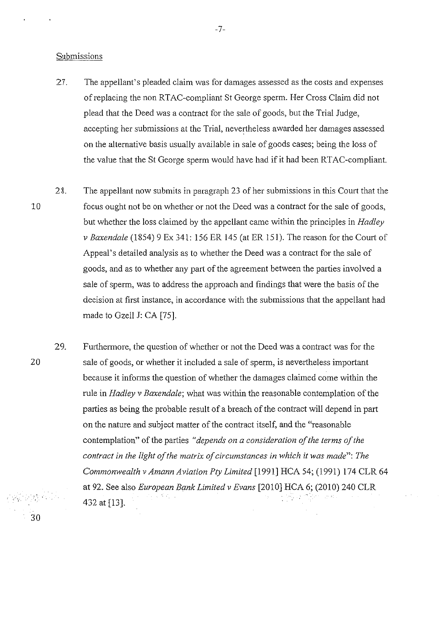#### Submissions

- 27. The appellant's pleaded claim was for damages assessed as the costs and expenses of replacing the non RT AC-compliant St George sperm. Her Cross Claim did not plead that the Deed was a contract for the sale of goods, but the Trial Judge, accepting her submissions at the Trial, nevertheless awarded her damages assessed on the alternative basis usually available in sale of goods cases; being the loss of the value that the St George sperm would have had if it had been RTAC-compliant.
- 28. The appellant now submits in paragraph 23 of her submissions in this Court that the focus ought not be on whether or not the Deed was a contract for the sale of goods, but whether the loss claimed by the appellant came within the principles in *Hadley v Baxendale* (1854) 9 Ex 341: 156 ER 145 (at ER 151). The reason for the Court of Appeal's detailed analysis as to whether the Deed was a contract for the sale of goods, and as to whether any part of the agreement between the parties involved a sale of sperm, was to address the approach and findings that were the basis of the decision at first instance, in accordance with the submissions that the appellant had made to Gzell J: CA [75].
	- 29. Furthermore, the question of whether or not the Deed was a contract was for the sale of goods, or whether it included a sale of sperm, is nevertheless important because it informs the question of whether the damages claimed come within the rule in *Hadley v Baxendale;* what was within the reasonable contemplation of the parties as being the probable result of a breach of the contract will depend in part on the nature and subject matter of the contract itself, and the "reasonable contemplation" of the parties *"depends on a consideration of the terms of the contract in the light of the matrix of circumstances in which it was made": The Commonwealth v Amann Aviation Pty Limited* [1991] HCA 54; (1991) 174 CLR 64 at 92. See also *European Bank Limited v Evans* [2010] HCA 6; (2010) 240 CLR 432 at [13].

10

20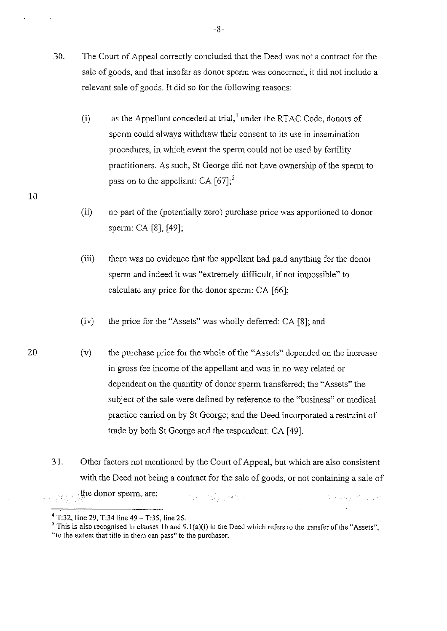- 30. The Court of Appeal correctly concluded that the Deed was not a contract for the sale of goods, and that insofar as donor sperm was concerned, it did not include a relevant sale of goods. It did so for the following reasons:
	- (i) as the Appellant conceded at trial, $4 \text{ under the RTAC Code, donors of }$ sperm could always withdraw their consent to its use in insemination procedures, in which event the sperm could not be used by fertility practitioners. As such, StGeorge did not have ownership of the sperm to pass on to the appellant: CA  $[67]$ ;<sup>5</sup>
	- (ii) no part of the (potentially zero) purchase price was apporiioned to donor sperm: CA [8], [49];
	- (iii) there was no evidence that the appellant had paid anything for the donor sperm and indeed it was "extremely difficult, if not impossible" to calculate any price for the donor sperm: CA [66];
	- (iv) the price for the "Assets" was wholly deferred: CA [8]; and
	- (v) the purchase price for the whole of the "Assets" depended on the increase in gross fee income of the appellant and was in no way related or dependent on the quantity of donor sperm transferred; the "Assets" the subject of the sale were defined by reference to the "business" or medical practice carried on by St George; and the Deed incorporated a restraint of trade by both St George and the respondent: CA [49].
- 3 1. Other factors not mentioned by the Court of Appeal, but which are also consistent with the Deed not being a contract for the sale of goods, or not containing a sale of the donor sperm, are:  $\mathcal{O}_{\mathcal{A}}$  and  $\mathcal{O}_{\mathcal{A}}$  and  $\mathcal{O}_{\mathcal{A}}$  and  $\mathcal{O}_{\mathcal{A}}$ the company of the con-

<sup>&</sup>lt;sup>4</sup> T:32, line 29, T:34 line 49 - T:35, line 26.<br><sup>5</sup> This is also recognised in clauses 1b and 9.1(a)(i) in the Deed which refers to the transfer of the "Assets", "to the extent that title in them can pass" to the purchaser.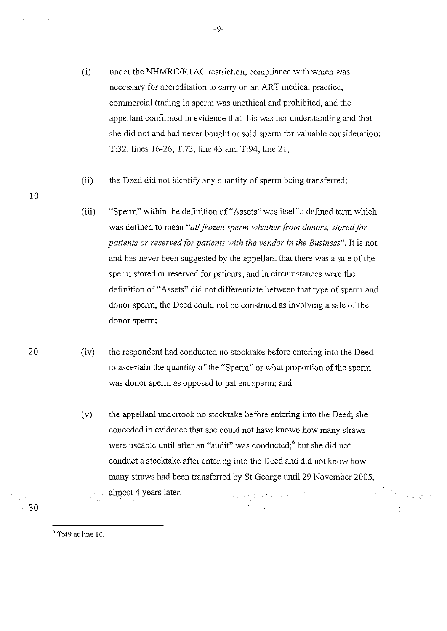- (i) under the NHMRC/RTAC restriction, compliance with which was necessary for accreditation to carry on an ART medical practice, commercial trading in sperm was unethical and prohibited, and the appellant confirmed in evidence that this was her understanding and that she did not and had never bought or sold sperm for valuable consideration: T:32, lines 16-26, T:73, line 43 and T:94, line 21;
- (ii) the Deed did not identify any quantity of sperm being transferred;
- (iii) "Sperm" within the definition of"Assets" was itself a defined term which was defined to mean *"all frozen sperm whether from donors, stored for patients or reserved for patients with the vendor in the Business".* It is not and has never been suggested by the appellant that there was a sale of the sperm stored or reserved for patients, and in circumstances were the definition of"Assets" did not differentiate between that type of sperm and donor sperm, the Deed could not be construed as involving a sale of the donor sperm;
- (iv) the respondent had conducted no stocktake before entering into the Deed to ascertain the quantity of the "Sperm" or what proportion of the sperm was donor sperm as opposed to patient sperm; and
	- ( v) the appellant undertook no stock take before entering into the Deed; she conceded in evidence that she could not have known how many straws were useable until after an "audit" was conducted;<sup>6</sup> but she did not conduct a stocktake after entering into the Deed and did not know how many straws had been transferred by St George until 29 November 2005, almost 4 years later. 化四氟乙烯 医心包

- 알리스 : 2 South

6 T:49 at line 10.

10

20

30

 $\overline{a}$ 

-9-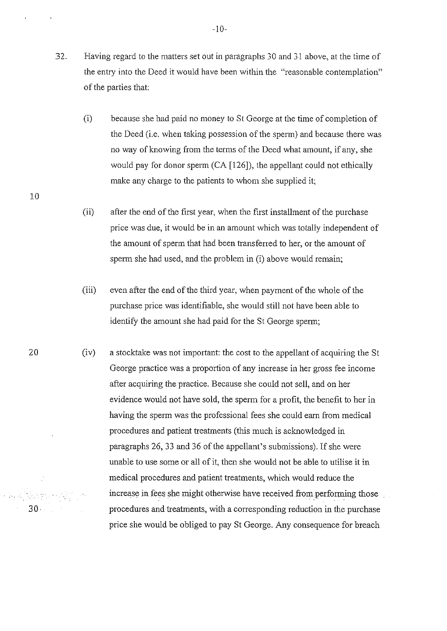- $32.$ Having regard to the matters set out in paragraphs 30 and 31 above, at the time of the entry into the Deed it would have been within the "reasonable contemplation" of the parties that:
	- (i) because she had paid no money to St George at the time of completion of the Deed (i.e. when taking possession of the sperm) and because there was no way of knowing from the terms of the Deed what amount, if any, she would pay for donor sperm (CA [126]), the appellant could not ethically make any charge to the patients to whom she supplied it;
	- (ii) after the end of the first year, when the first installment of the purchase price was due, it would be in an amount which was totally independent of the amount of sperm that had been transferred to her, or the amount of sperm she had used, and the problem in (i) above would remain;

20

- (iii) even after the end of the third year, when payment of the whole of the purchase price was identifiable, she would still not have been able to identify the amount she had paid for the St George sperm;
- (iv) a stocktake was not important: the cost to the appellant of acquiring the St George practice was a proportion of any increase in her gross fee income after acquiring the practice. Because she could not sell, and on her evidence would not have sold, the sperm for a profit, the benefit to her in having the sperm was the professional fees she could earn from medical procedures and patient treatments (this much is acknowledged in paragraphs 26, 33 and 36 of the appellant's submissions). If she were unable to use some or all of it, then she would not be able to utilise it in medical procedures and patient treatments, which would reduce the increase in fees she might otherwise have received from performing those procedures and treatments, with a corresponding reduction in the purchase price she would be obliged to pay St George. Any consequence for breach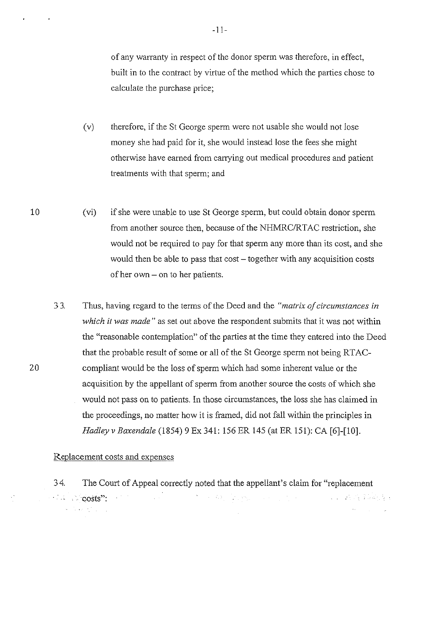of any warranty in respect of the donor sperm was therefore, in effect, built in to the contract by virtue of the method which the parties chose to calculate the purchase price;

- (v) therefore, if the St George sperm were not usable she would not lose money she had paid for it, she would instead lose the fees she might otherwise have earned from carrying out medical procedures and patient treatments with that sperm; and
- (vi) if she were unable to use St George sperm, but could obtain donor sperm from another source then, because of the NHMRC/RTAC restriction, she would not be required to pay for that sperm any more than its cost, and she would then be able to pass that cost – together with any acquisition costs of her own- on to her patients.
- 3 3. Thus, having regard to the terms of the Deed and the *"matrix of circumstances in which it was made"* as set out above the respondent submits that it was not within the "reasonable contemplation" of the parties at the time they entered into the Deed that the probable result of some or all of the St George sperm not being RTACcompliant would be the loss of sperm which had some inherent value or the acquisition by the appellant of sperm from another source the costs of which she would not pass on to patients. In those circumstances, the loss she has claimed in the proceedings, no matter how it is framed, did not fall within the principles in *Hadley v Baxendale* (1854) 9 Ex 341: 156 ER 145 (at ER 151): CA [6]-[10].

#### Replacement costs and expenses

34. The Court of Appeal correctly noted that the appellant's claim for "replacement The Committee of the Committee of the Committee ng P **1. 2. 2. 2. 安全基金的变体** , costs":  $\alpha$  ,  $\beta$  and  $\beta$  ,  $\beta$  $\left\langle \mathbf{v} \right\rangle = \left\langle \mathbf{v} \right\rangle_{\mathbf{v}}$  ,  $\left\langle \mathbf{v} \right\rangle_{\mathbf{v}}$ 

10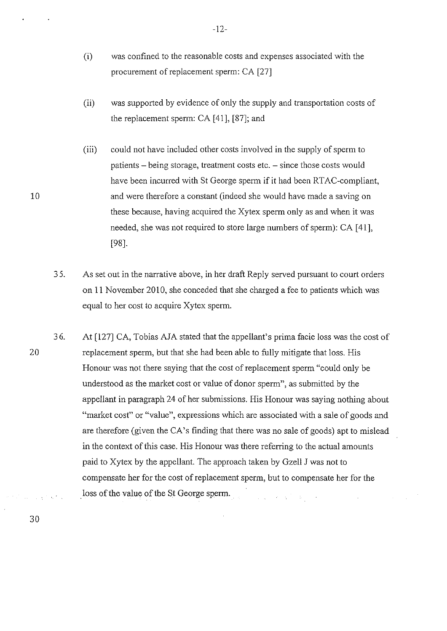- (i) was confined to the reasonable costs and expenses associated with the procurement of replacement sperm: CA [27]
- (ii) was supported by evidence of only the supply and transportation costs of the replacement sperm: CA [41], [87]; and
- (iii) could not have included other costs involved in the supply of sperm to patients – being storage, treatment costs etc. – since those costs would have been incurred with St George sperm if it had been RTAC-compliant, and were therefore a constant (indeed she would have made a saving on these because, having acquired the Xytex sperm only as and when it was needed, she was not required to store large numbers of sperm): CA [ 41], [98].
- 3 5. As set out in the narrative above, in her draft Reply served pursuant to court orders on 11 November 2010, she conceded that she charged a fee to patients which was equal to her cost to acquire Xytex sperm.
- 36. At [127] CA, Tobias AJA stated that the appellant's prima facie loss was the cost of replacement sperm, but that she had been able to fully mitigate that loss. His Honour was not there saying that the cost of replacement sperm "could only be understood as the market cost or value of donor sperm", as submitted by the appellant in paragraph 24 of her submissions. His Honour was saying nothing about "market cost" or "value", expressions which are associated with a sale of goods and are therefore (given theCA's finding that there was no sale of goods) apt to mislead in the context of this case. His Honour was there referring to the actual amounts paid to Xytex by the appellant. The approach taken by Gzell J was not to compensate her for the cost of replacement sperm, but to compensate her for the loss of the value of the St George sperm. a sa salah sahiji désa di kacamatan Sulawa.<br>Kacamatan Sulawa  $\sim 10$

20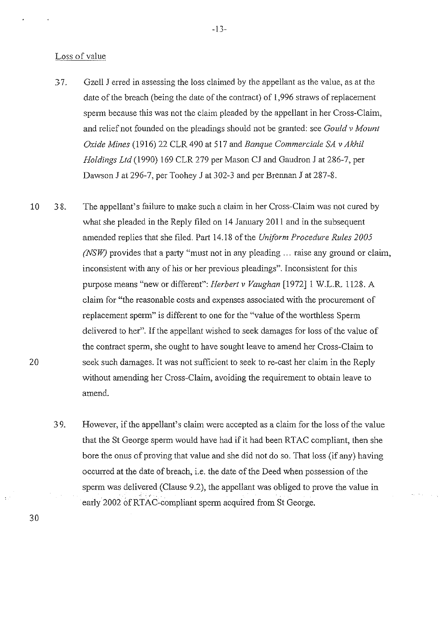#### Loss of value

- 3 7. Gzell J erred in assessing the loss claimed by the appellant as the value, as at the date of the breach (being the date of the contract) of 1,996 straws of replacement sperm because this was not the claim pleaded by the appellant in her Cross-Claim, and relief not founded on the pleadings should not be granted: see *Gould v Mount Oxide Mines* (1916) 22 CLR 490 at 517 and *Banque Commerciale SA v Akhil Holdings Ltd* (1990) 169 CLR 279 per Mason CJ and Gaudron J at 286-7, per Dawson J at 296-7, per Toohey J at 302-3 and per Brennan J at 287-8.
- 10 20 38. The appellant's failure to make such a claim in her Cross-Claim was not cured by what she pleaded in the Reply filed on 14 January 2011 and in the subsequent amended replies that she filed. Part 14.18 of the *Uniform Procedure Rules 2005 (NSW)* provides that a party "must not in any pleading ... raise any ground or claim, inconsistent with any of his or her previous pleadings". Inconsistent for this purpose means "new or different": *Herbert v Vaughan* [1972]1 W.L.R. 1128. A claim for "the reasonable costs and expenses associated with the procurement of replacement sperm" is different to one for the "value of the worthless Sperm delivered to her". If the appellant wished to seek damages for loss of the value of the contract sperm, she ought to have sought leave to amend her Cross-Claim to seek such damages. It was not sufficient to seek to re-cast her claim in the Reply without amending her Cross-Claim, avoiding the requirement to obtain leave to amend.
	- 3 9. However, if the appellant's claim were accepted as a claim for the loss of the value that the St George sperm would have had if it had been RTAC compliant, then she bore the onus of proving that value and she did not do so. That loss (if any) having occurred at the date of breach, i.e. the date of the Deed when possession of the sperm was delivered (Clause 9.2), the appellant was obliged to prove the value in early 2002 of RTAC-compliant sperm acquired from St George.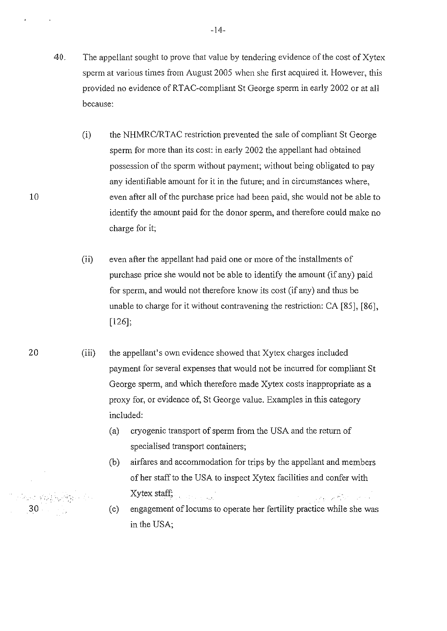- 40. The appellant sought to prove that value by tendering evidence of the cost of  $X$ ytex sperm at various times from August 2005 when she first acquired it. However, this provided no evidence of RTAC-compliant StGeorge sperm in early 2002 or at all because:
	- (i) the NHMRC/RTAC restriction prevented the sale of compliant StGeorge sperm for more than its cost: in early 2002 the appellant had obtained possession of the sperm without payment; without being obligated to pay any identifiable amount for it in the future; and in circumstances where, even after all of the purchase price had been paid, she would not be able to identify the amount paid for the donor sperm, and therefore could make no charge for it;
	- (ii) even after the appellant had paid one or more of the installments of purchase price she would not be able to identify the amount (if any) paid for sperm, and would not therefore know its cost (if any) and thus be unable to charge for it without contravening the restriction: CA [85], [86], [126];
	- (iii) the appellant's own evidence showed that Xytex charges included payment for several expenses that would not be incurred for compliant St George sperm, and which therefore made Xytex costs inappropriate as a proxy for, or evidence of, St George value. Examples in this category included:
		- (a) cryogenic transport of sperm from the USA and the return of specialised transport containers;
		- airfares and accommodation for trips by the appellant and members (b) of her staff to the USA to inspect Xytex facilities and confer with Xytex staff;  $\mathcal{L}^{\text{max}}$  , where  $\mathcal{L}^{\text{max}}$ المواسط والمسترقية المعارية والمعاونة
		- (c) engagement of locums to operate her fertility practice while she was in the USA;

 $\mathcal{E}_\mathrm{c}$ 

30

10

-14-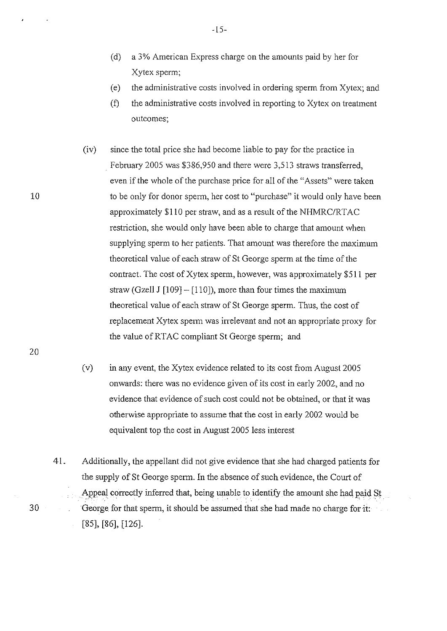- (d) a 3% American Express charge on the amounts paid by her for Xytex sperm;
- (e) the administrative costs involved in ordering sperm from Xytex; and
- (f) the administrative costs involved in reporting to Xytex on treatment outcomes;

(iv) since the total price she had become liable to pay for the practice in February 2005 was \$386,950 and there were 3,513 straws transferred, even if the whole of the purchase price for all of the "Assets" were taken to be only for donor sperm, her cost to "purchase" it would only have been approximately \$110 per straw, and as a result of the NHMRC/RT AC restriction, she would only have been able to charge that amount when supplying sperm to her patients. That amount was therefore the maximum theoretical value of each straw of StGeorge sperm at the time of the contract. The cost of Xytex sperm, however, was approximately \$511 per straw (Gzell J  $[109] - [110]$ ), more than four times the maximum theoretical value of each straw of St George sperm. Thus, the cost of replacement Xytex sperm was inelevant and not an appropriate proxy for the value of RTAC compliant St George sperm; and

20

30

10

(v) in any event, the Xytex evidence related to its cost from August 2005 onwards: there was no evidence given of its cost in early 2002, and no evidence that evidence of such cost could not be obtained, or that it was otherwise appropriate to assume that the cost in early 2002 would be equivalent top the cost in August 2005 less interest

41. Additionally, the appellant did not give evidence that she had charged patients for the supply of St George sperm. In the absence of such evidence, the Court of Appeal correctly inferred that, being unable to identify the amount she had paid St George for that sperm, it should be assumed that she had made no charge for it:  $\mathbb{R}^2$ [85], [86], [126].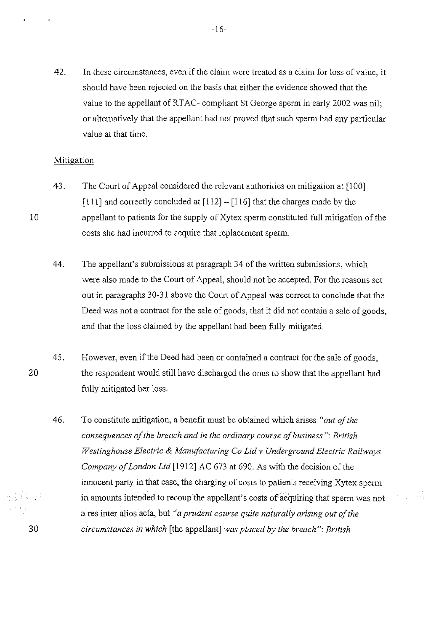42. In these circumstances, even if the claim were treated as a claim for loss of value, it should have been rejected on the basis that either the evidence showed that the value to the appellant of RTAC- compliant St George sperm in early 2002 was nil; or alternatively that the appellant had not proved that such sperm had any particular value at that time.

## Mitigation

- 43. The Court of Appeal considered the relevant authorities on mitigation at [100] [111] and correctly concluded at  $[112] - [116]$  that the charges made by the appellant to patients for the supply of Xytex sperm constituted full mitigation of the costs she had incurred to acquire that replacement sperm.
- 44. The appellant's submissions at paragraph 34 of the written submissions, which were also made to the Court of Appeal, should not be accepted. For the reasons set out in paragraphs 30-31 above the Court of Appeal was correct to conclude that the Deed was not a contract for the sale of goods, that it did not contain a sale of goods, and that the loss claimed by the appellant had been fully mitigated.

45. However, even if the Deed had been or contained a contract for the sale of goods, the respondent would still have discharged the onus to show that the appellant had fully mitigated her loss.

46. To constitute mitigation, a benefit must be obtained which arises *"out of the consequences of the breach and in the ordinary course of business": British Westinghouse Electric* & *Manufacturing Co Ltd v Underground Electric Railways Company of London Ltd* [1912] AC 673 at 690. As with the decision of the innocent party in that case, the charging of costs to patients receiving Xytex sperm in amounts intended to recoup the appellant's costs of acquiring that sperm was not a res inter alios acta, but "*a prudent course quite naturally arising out of the circumstances in which* [the appellant] *was placed by the breach": British* 

- 143

20

30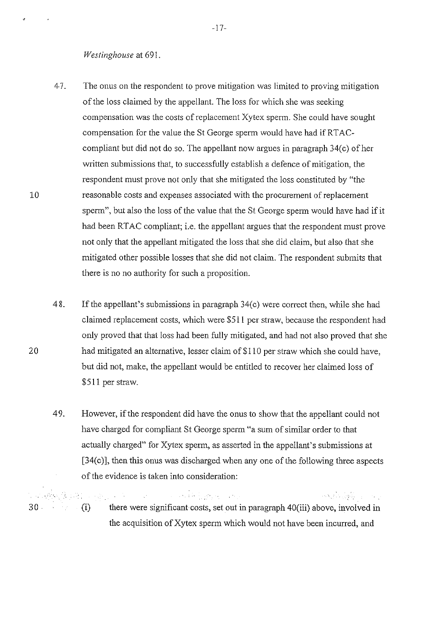#### *Westinghouse* at 691.

- 47. The onus on the respondent to prove mitigation was limited to proving mitigation of the loss claimed by the appellant. The loss for which she was seeking compensation was the costs of replacement Xytex sperm. She could have sought compensation for the value the St George sperm would have had if RTACcompliant but did not do so. The appellant now argues in paragraph  $34(c)$  of her written submissions that, to successfully establish a defence of mitigation, the respondent must prove not only that she mitigated the loss constituted by "the reasonable costs and expenses associated with the procurement of replacement sperm", but also the loss of the value that the St George sperm would have had if it had been RTAC compliant; i.e. the appellant argues that the respondent must prove not only that the appellant mitigated the loss that she did claim, but also that she mitigated other possible losses that she did not claim. The respondent submits that there is no no authority for such a proposition.
- 48. If the appellant's submissions in paragraph 34(c) were correct then, while she had claimed replacement costs, which were \$511 per straw, because the respondent had only proved that that loss had been fully mitigated, and had not also proved that she had mitigated an alternative, lesser claim of \$110 per straw which she could have, but did not, make, the appellant would be entitled to recover her claimed loss of \$511 per straw.
- 4 9. However, if the respondent did have the onus to show that the appellant could not have charged for compliant St George sperm "a sum of similar order to that actually charged" for Xytex sperm, as asserted in the appellant's submissions at [34(c)], then this onus was discharged when any one of the following three aspects of the evidence is taken into consideration:

الموافقين المواريخ وأناها أنخبت بالمرا .. ·,  $\sim 10^6$ 30 (i) there were significant costs, set out in paragraph 40(iii) above, involved in the acquisition of Xytex sperm which would not have been incurred, and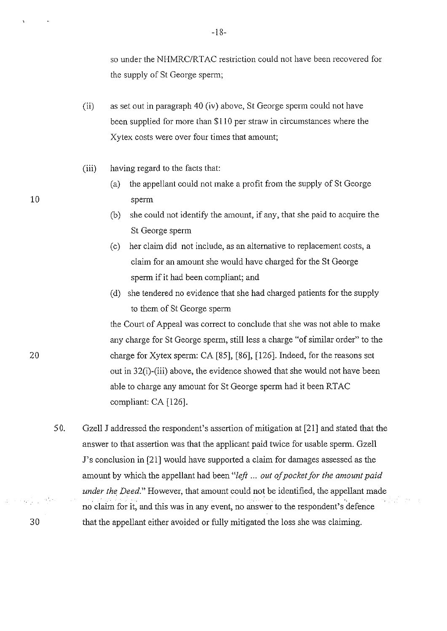so under the NHMRC/RTAC restriction could not have been recovered for the supply of St George sperm;

- (ii) as set out in paragraph 40 (iv) above, StGeorge sperm could not have been supplied for more than \$110 per straw in circumstances where the Xytex costs were over four times that amount;
- (iii) having regard to the facts that:
- (a) the appellant could not make a profit from the supply of StGeorge 10 sperm
	- (b) she could not identify the amount, if any, that she paid to acquire the St George sperm
	- (c) her claim did not include, as an alternative to replacement costs, a claim for an amount she would have charged for the St George sperm if it had been compliant; and
	- (d) she tendered no evidence that she had charged patients for the supply to them of St George sperm

the Court of Appeal was correct to conclude that she was not able to make any charge for St George sperm, still less a charge "of similar order" to the charge for Xytex sperm: CA [85], [86], [126]. Indeed, for the reasons set out in 32(i)-(iii) above, the evidence showed that she would not have been able to charge any amount for St George sperm had it been RTAC compliant: CA [126].

50. Gzell J addressed the respondent's assertion of mitigation at [21] and stated that the answer to that assertion was that the applicant paid twice for usable sperm. Gzell J's conclusion in [21] would have supported a claim for damages assessed as the amount by which the appellant had been *"left* ... *out of pocket for the amount paid under the Deed."* However, that amount could not be identified, the appellant made no claim for it, and this was in any event, no answer to the respondent's defence that the appellant either avoided or fully mitigated the loss she was claiming.

20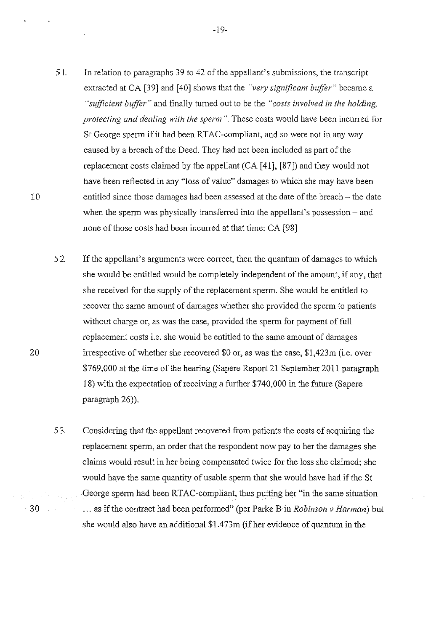5 L In relation to paragraphs 39 to 42 of the appellant's submissions, the transcript extracted at CA [39] and [40] shows that the *"very significant buffer"* became a *"sufficient buffer"* and finally turned out to be the *"costs involved in the holding, protecting and dealing with the sperm".* These costs would have been incurred for St George sperm if it had been RTAC-compliant, and so were not in any way caused by a breach of the Deed. They had not been included as part of the replacement costs claimed by the appellant (CA [ 41], [87]) and they would not have been reflected in any "loss of value" damages to which she may have been entitled since those damages had been assessed at the date of the breach- the date when the sperm was physically transferred into the appellant's possession – and

52. If the appellant's arguments were correct, then the quantum of damages to which she would be entitled would be completely independent of the amount, if any, that she received for the supply of the replacement sperm. She would be entitled to recover the same amount of damages whether she provided the sperm to patients without charge or, as was the case, provided the sperm for payment of full replacement costs i.e. she would be entitled to the same amount of damages irrespective of whether she recovered \$0 or, as was the case, \$1,423m (i.e. over \$769,000 at the time of the hearing (Sapere Report 21 September 2011 paragraph 18) with the expectation of receiving a further \$740,000 in the future (Sapere paragraph 26)).

none of those costs had been incurred at that time: CA [98]

53. Considering that the appellant recovered from patients the costs of acquiring the replacement sperm, an order that the respondent now pay to her the damages she claims would result in her being compensated twice for the loss she claimed; she would have the same quantity of usable sperm that she would have had if the St George sperm had been RTAC-compliant, thus putting her "in the same situation ... as if the contract had been performed" (per Parke Bin *Robinson v Harman)* but she would also have an additional \$1.473m (if her evidence of quantum in the

10

20